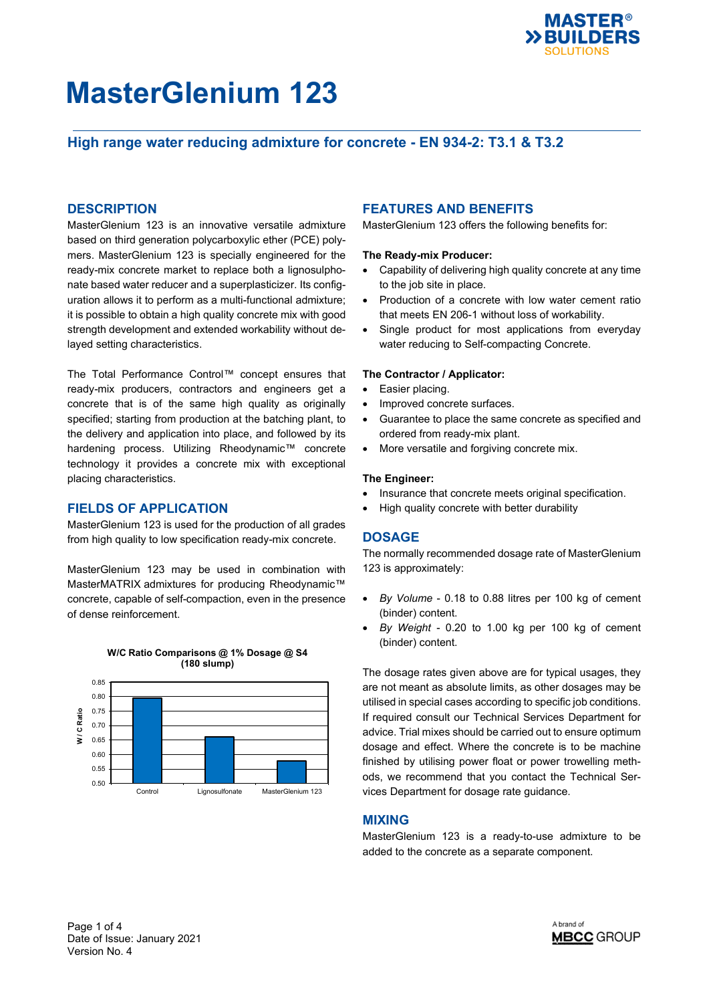

# **High range water reducing admixture for concrete - EN 934-2: T3.1 & T3.2**

## **DESCRIPTION**

MasterGlenium 123 is an innovative versatile admixture based on third generation polycarboxylic ether (PCE) polymers. MasterGlenium 123 is specially engineered for the ready-mix concrete market to replace both a lignosulphonate based water reducer and a superplasticizer. Its configuration allows it to perform as a multi-functional admixture; it is possible to obtain a high quality concrete mix with good strength development and extended workability without delayed setting characteristics.

The Total Performance Control™ concept ensures that ready-mix producers, contractors and engineers get a concrete that is of the same high quality as originally specified; starting from production at the batching plant, to the delivery and application into place, and followed by its hardening process. Utilizing Rheodynamic™ concrete technology it provides a concrete mix with exceptional placing characteristics.

### **FIELDS OF APPLICATION**

MasterGlenium 123 is used for the production of all grades from high quality to low specification ready-mix concrete.

MasterGlenium 123 may be used in combination with MasterMATRIX admixtures for producing Rheodynamic™ concrete, capable of self-compaction, even in the presence of dense reinforcement.



#### **W/C Ratio Comparisons @ 1% Dosage @ S4 (180 slump)**

## **FEATURES AND BENEFITS**

MasterGlenium 123 offers the following benefits for:

#### **The Ready-mix Producer:**

- Capability of delivering high quality concrete at any time to the job site in place.
- Production of a concrete with low water cement ratio that meets EN 206-1 without loss of workability.
- Single product for most applications from everyday water reducing to Self-compacting Concrete.

#### **The Contractor / Applicator:**

- Easier placing.
- Improved concrete surfaces.
- Guarantee to place the same concrete as specified and ordered from ready-mix plant.
- More versatile and forgiving concrete mix.

#### **The Engineer:**

- Insurance that concrete meets original specification.
- High quality concrete with better durability

### **DOSAGE**

The normally recommended dosage rate of MasterGlenium 123 is approximately:

- *By Volume* 0.18 to 0.88 litres per 100 kg of cement (binder) content.
- *By Weight* 0.20 to 1.00 kg per 100 kg of cement (binder) content.

The dosage rates given above are for typical usages, they are not meant as absolute limits, as other dosages may be utilised in special cases according to specific job conditions. If required consult our Technical Services Department for advice. Trial mixes should be carried out to ensure optimum dosage and effect. Where the concrete is to be machine finished by utilising power float or power trowelling methods, we recommend that you contact the Technical Services Department for dosage rate guidance.

## **MIXING**

MasterGlenium 123 is a ready-to-use admixture to be added to the concrete as a separate component.

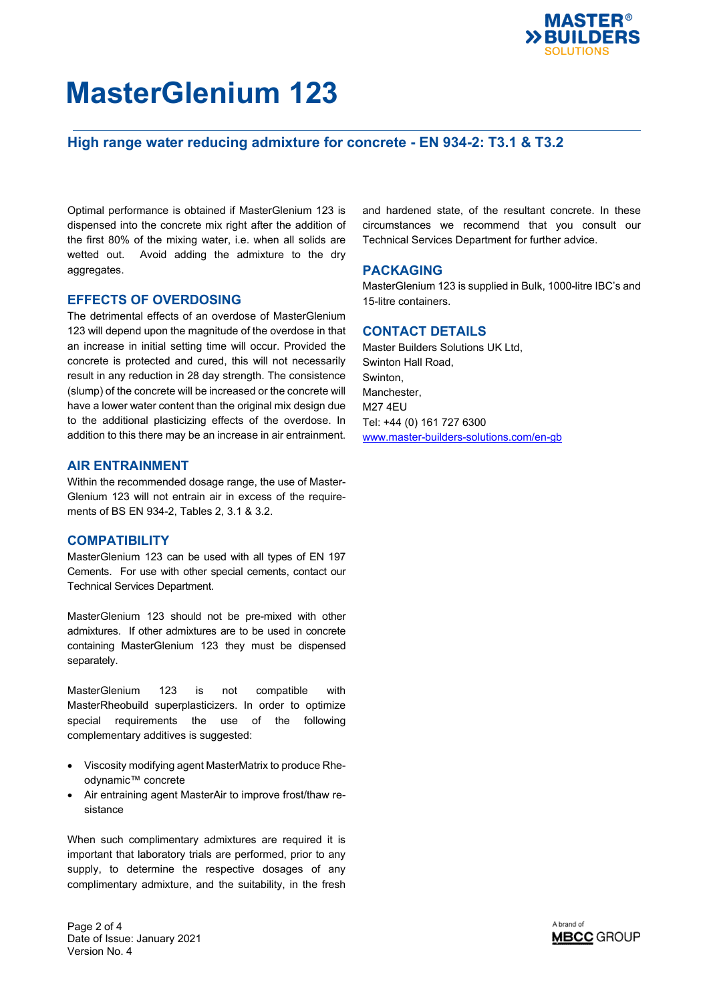

## **High range water reducing admixture for concrete - EN 934-2: T3.1 & T3.2**

Optimal performance is obtained if MasterGlenium 123 is dispensed into the concrete mix right after the addition of the first 80% of the mixing water, i.e. when all solids are wetted out. Avoid adding the admixture to the dry aggregates.

## **EFFECTS OF OVERDOSING**

The detrimental effects of an overdose of MasterGlenium 123 will depend upon the magnitude of the overdose in that an increase in initial setting time will occur. Provided the concrete is protected and cured, this will not necessarily result in any reduction in 28 day strength. The consistence (slump) of the concrete will be increased or the concrete will have a lower water content than the original mix design due to the additional plasticizing effects of the overdose. In addition to this there may be an increase in air entrainment.

## **AIR ENTRAINMENT**

Within the recommended dosage range, the use of Master-Glenium 123 will not entrain air in excess of the requirements of BS EN 934-2, Tables 2, 3.1 & 3.2.

### **COMPATIBILITY**

MasterGlenium 123 can be used with all types of EN 197 Cements. For use with other special cements, contact our Technical Services Department.

MasterGlenium 123 should not be pre-mixed with other admixtures. If other admixtures are to be used in concrete containing MasterGlenium 123 they must be dispensed separately.

MasterGlenium 123 is not compatible with MasterRheobuild superplasticizers. In order to optimize special requirements the use of the following complementary additives is suggested:

- Viscosity modifying agent MasterMatrix to produce Rheodynamic™ concrete
- Air entraining agent MasterAir to improve frost/thaw resistance

When such complimentary admixtures are required it is important that laboratory trials are performed, prior to any supply, to determine the respective dosages of any complimentary admixture, and the suitability, in the fresh and hardened state, of the resultant concrete. In these circumstances we recommend that you consult our Technical Services Department for further advice.

### **PACKAGING**

MasterGlenium 123 is supplied in Bulk, 1000-litre IBC's and 15-litre containers.

## **CONTACT DETAILS**

Master Builders Solutions UK Ltd, Swinton Hall Road, Swinton, Manchester, M27 4EU Tel: +44 (0) 161 727 6300 [www.master-builders-solutions.com/en-gb](http://www.master-builders-solutions.com/en-gb)

Page 2 of 4 Date of Issue: January 2021 Version No. 4

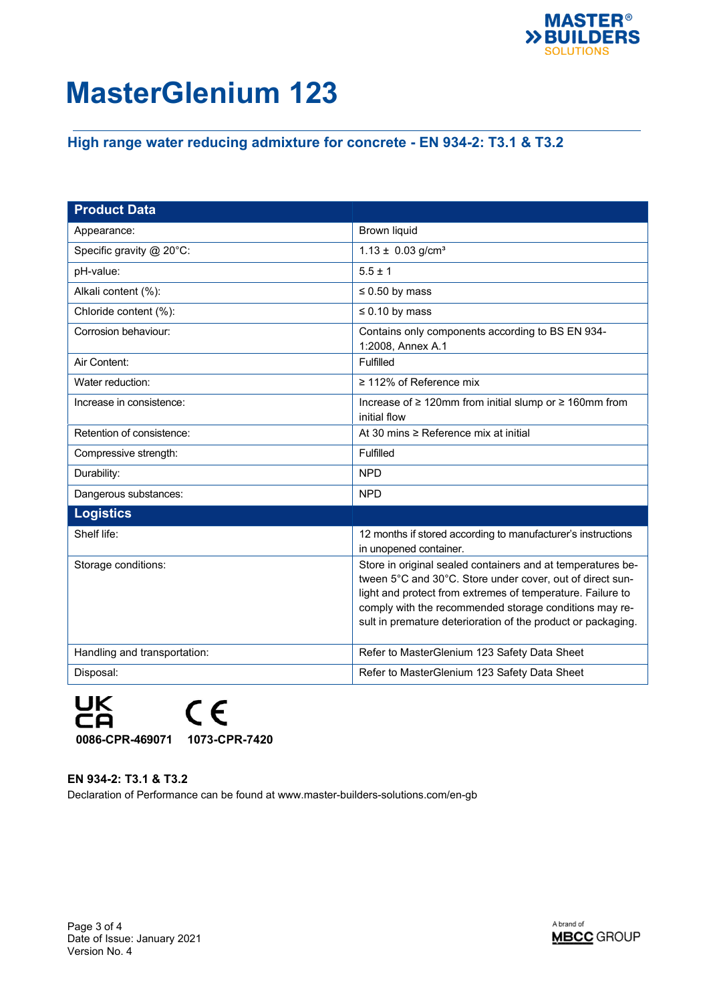

# **High range water reducing admixture for concrete - EN 934-2: T3.1 & T3.2**

| <b>Product Data</b>          |                                                                                                                                                                                                                                                                                                                  |
|------------------------------|------------------------------------------------------------------------------------------------------------------------------------------------------------------------------------------------------------------------------------------------------------------------------------------------------------------|
| Appearance:                  | <b>Brown liquid</b>                                                                                                                                                                                                                                                                                              |
| Specific gravity @ 20°C:     | $1.13 \pm 0.03$ g/cm <sup>3</sup>                                                                                                                                                                                                                                                                                |
| pH-value:                    | $5.5 \pm 1$                                                                                                                                                                                                                                                                                                      |
| Alkali content (%):          | $\leq 0.50$ by mass                                                                                                                                                                                                                                                                                              |
| Chloride content (%):        | $\leq 0.10$ by mass                                                                                                                                                                                                                                                                                              |
| Corrosion behaviour:         | Contains only components according to BS EN 934-<br>1:2008, Annex A.1                                                                                                                                                                                                                                            |
| Air Content:                 | Fulfilled                                                                                                                                                                                                                                                                                                        |
| Water reduction:             | $\geq$ 112% of Reference mix                                                                                                                                                                                                                                                                                     |
| Increase in consistence:     | Increase of ≥ 120mm from initial slump or ≥ 160mm from<br>initial flow                                                                                                                                                                                                                                           |
| Retention of consistence:    | At 30 mins $\geq$ Reference mix at initial                                                                                                                                                                                                                                                                       |
| Compressive strength:        | Fulfilled                                                                                                                                                                                                                                                                                                        |
| Durability:                  | <b>NPD</b>                                                                                                                                                                                                                                                                                                       |
| Dangerous substances:        | <b>NPD</b>                                                                                                                                                                                                                                                                                                       |
| <b>Logistics</b>             |                                                                                                                                                                                                                                                                                                                  |
| Shelf life:                  | 12 months if stored according to manufacturer's instructions<br>in unopened container.                                                                                                                                                                                                                           |
| Storage conditions:          | Store in original sealed containers and at temperatures be-<br>tween 5°C and 30°C. Store under cover, out of direct sun-<br>light and protect from extremes of temperature. Failure to<br>comply with the recommended storage conditions may re-<br>sult in premature deterioration of the product or packaging. |
| Handling and transportation: | Refer to MasterGlenium 123 Safety Data Sheet                                                                                                                                                                                                                                                                     |
| Disposal:                    | Refer to MasterGlenium 123 Safety Data Sheet                                                                                                                                                                                                                                                                     |



**EN 934-2: T3.1 & T3.2** Declaration of Performance can be found at www.master-builders-solutions.com/en-gb